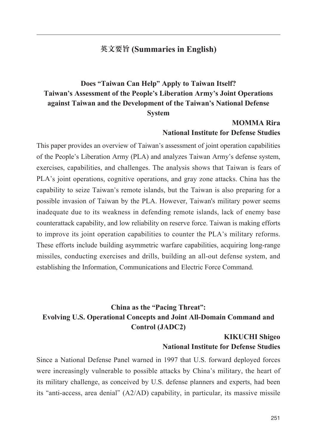#### **英文要旨 (Summaries in English)**

## **Does "Taiwan Can Help" Apply to Taiwan Itself? Taiwan's Assessment of the People's Liberation Army's Joint Operations against Taiwan and the Development of the Taiwan's National Defense System**

#### **MOMMA Rira National Institute for Defense Studies**

This paper provides an overview of Taiwan's assessment of joint operation capabilities of the People's Liberation Army (PLA) and analyzes Taiwan Army's defense system, exercises, capabilities, and challenges. The analysis shows that Taiwan is fears of PLA's joint operations, cognitive operations, and gray zone attacks. China has the capability to seize Taiwan's remote islands, but the Taiwan is also preparing for a possible invasion of Taiwan by the PLA. However, Taiwan's military power seems inadequate due to its weakness in defending remote islands, lack of enemy base counterattack capability, and low reliability on reserve force. Taiwan is making efforts to improve its joint operation capabilities to counter the PLA's military reforms. These efforts include building asymmetric warfare capabilities, acquiring long-range missiles, conducting exercises and drills, building an all-out defense system, and establishing the Information, Communications and Electric Force Command.

### **China as the "Pacing Threat": Evolving U.S. Operational Concepts and Joint All-Domain Command and Control (JADC2)**

#### **KIKUCHI Shigeo National Institute for Defense Studies**

Since a National Defense Panel warned in 1997 that U.S. forward deployed forces were increasingly vulnerable to possible attacks by China's military, the heart of its military challenge, as conceived by U.S. defense planners and experts, had been its "anti-access, area denial" (A2/AD) capability, in particular, its massive missile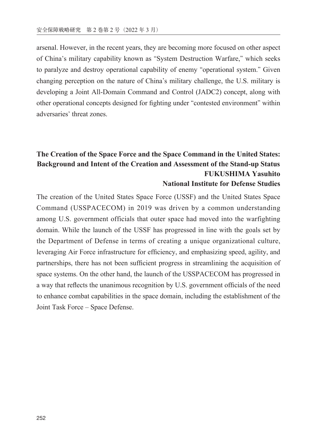arsenal. However, in the recent years, they are becoming more focused on other aspect of China's military capability known as "System Destruction Warfare," which seeks to paralyze and destroy operational capability of enemy "operational system." Given changing perception on the nature of China's military challenge, the U.S. military is developing a Joint All-Domain Command and Control (JADC2) concept, along with other operational concepts designed for fighting under "contested environment" within adversaries' threat zones.

## **The Creation of the Space Force and the Space Command in the United States: Background and Intent of the Creation and Assessment of the Stand-up Status FUKUSHIMA Yasuhito**

#### **National Institute for Defense Studies**

The creation of the United States Space Force (USSF) and the United States Space Command (USSPACECOM) in 2019 was driven by a common understanding among U.S. government officials that outer space had moved into the warfighting domain. While the launch of the USSF has progressed in line with the goals set by the Department of Defense in terms of creating a unique organizational culture, leveraging Air Force infrastructure for efficiency, and emphasizing speed, agility, and partnerships, there has not been sufficient progress in streamlining the acquisition of space systems. On the other hand, the launch of the USSPACECOM has progressed in a way that reflects the unanimous recognition by U.S. government officials of the need to enhance combat capabilities in the space domain, including the establishment of the Joint Task Force – Space Defense.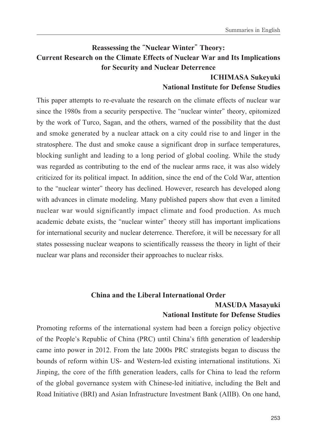### **Reassessing the "Nuclear Winter" Theory: Current Research on the Climate Effects of Nuclear War and Its Implications for Security and Nuclear Deterrence**

#### **ICHIMASA Sukeyuki National Institute for Defense Studies**

This paper attempts to re-evaluate the research on the climate effects of nuclear war since the 1980s from a security perspective. The "nuclear winter" theory, epitomized by the work of Turco, Sagan, and the others, warned of the possibility that the dust and smoke generated by a nuclear attack on a city could rise to and linger in the stratosphere. The dust and smoke cause a significant drop in surface temperatures, blocking sunlight and leading to a long period of global cooling. While the study was regarded as contributing to the end of the nuclear arms race, it was also widely criticized for its political impact. In addition, since the end of the Cold War, attention to the "nuclear winter" theory has declined. However, research has developed along with advances in climate modeling. Many published papers show that even a limited nuclear war would significantly impact climate and food production. As much academic debate exists, the "nuclear winter" theory still has important implications for international security and nuclear deterrence. Therefore, it will be necessary for all states possessing nuclear weapons to scientifically reassess the theory in light of their nuclear war plans and reconsider their approaches to nuclear risks.

#### **China and the Liberal International Order**

#### **MASUDA Masayuki National Institute for Defense Studies**

Promoting reforms of the international system had been a foreign policy objective of the People's Republic of China (PRC) until China's fifth generation of leadership came into power in 2012. From the late 2000s PRC strategists began to discuss the bounds of reform within US- and Western-led existing international institutions. Xi Jinping, the core of the fifth generation leaders, calls for China to lead the reform of the global governance system with Chinese-led initiative, including the Belt and Road Initiative (BRI) and Asian Infrastructure Investment Bank (AIIB). On one hand,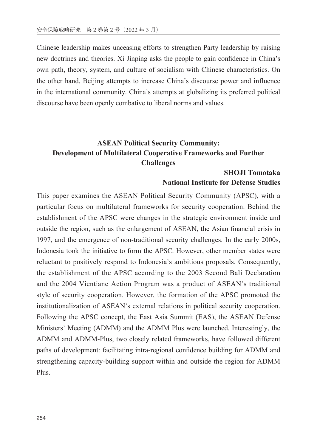Chinese leadership makes unceasing efforts to strengthen Party leadership by raising new doctrines and theories. Xi Jinping asks the people to gain confidence in China's own path, theory, system, and culture of socialism with Chinese characteristics. On the other hand, Beijing attempts to increase China's discourse power and influence in the international community. China's attempts at globalizing its preferred political discourse have been openly combative to liberal norms and values.

### **ASEAN Political Security Community: Development of Multilateral Cooperative Frameworks and Further Challenges**

# **SHOJI Tomotaka**

#### **National Institute for Defense Studies**

This paper examines the ASEAN Political Security Community (APSC), with a particular focus on multilateral frameworks for security cooperation. Behind the establishment of the APSC were changes in the strategic environment inside and outside the region, such as the enlargement of ASEAN, the Asian financial crisis in 1997, and the emergence of non-traditional security challenges. In the early 2000s, Indonesia took the initiative to form the APSC. However, other member states were reluctant to positively respond to Indonesia's ambitious proposals. Consequently, the establishment of the APSC according to the 2003 Second Bali Declaration and the 2004 Vientiane Action Program was a product of ASEAN's traditional style of security cooperation. However, the formation of the APSC promoted the institutionalization of ASEAN's external relations in political security cooperation. Following the APSC concept, the East Asia Summit (EAS), the ASEAN Defense Ministers' Meeting (ADMM) and the ADMM Plus were launched. Interestingly, the ADMM and ADMM-Plus, two closely related frameworks, have followed different paths of development: facilitating intra-regional confidence building for ADMM and strengthening capacity-building support within and outside the region for ADMM Plus.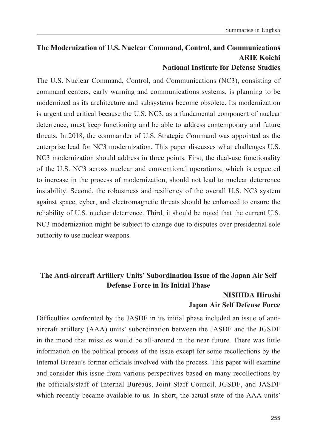#### **The Modernization of U.S. Nuclear Command, Control, and Communications ARIE Koichi National Institute for Defense Studies**

The U.S. Nuclear Command, Control, and Communications (NC3), consisting of command centers, early warning and communications systems, is planning to be modernized as its architecture and subsystems become obsolete. Its modernization is urgent and critical because the U.S. NC3, as a fundamental component of nuclear deterrence, must keep functioning and be able to address contemporary and future threats. In 2018, the commander of U.S. Strategic Command was appointed as the enterprise lead for NC3 modernization. This paper discusses what challenges U.S. NC3 modernization should address in three points. First, the dual-use functionality of the U.S. NC3 across nuclear and conventional operations, which is expected to increase in the process of modernization, should not lead to nuclear deterrence instability. Second, the robustness and resiliency of the overall U.S. NC3 system against space, cyber, and electromagnetic threats should be enhanced to ensure the reliability of U.S. nuclear deterrence. Third, it should be noted that the current U.S. NC3 modernization might be subject to change due to disputes over presidential sole authority to use nuclear weapons.

#### **The Anti-aircraft Artillery Units' Subordination Issue of the Japan Air Self Defense Force in Its Initial Phase**

#### **NISHIDA Hiroshi Japan Air Self Defense Force**

Difficulties confronted by the JASDF in its initial phase included an issue of antiaircraft artillery (AAA) units' subordination between the JASDF and the JGSDF in the mood that missiles would be all-around in the near future. There was little information on the political process of the issue except for some recollections by the Internal Bureau's former officials involved with the process. This paper will examine and consider this issue from various perspectives based on many recollections by the officials/staff of Internal Bureaus, Joint Staff Council, JGSDF, and JASDF which recently became available to us. In short, the actual state of the AAA units'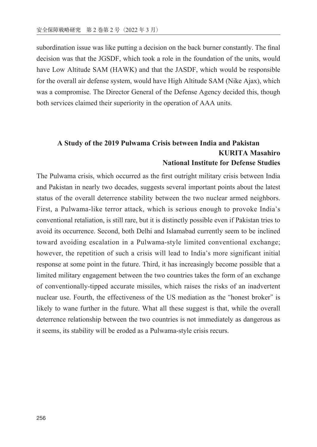subordination issue was like putting a decision on the back burner constantly. The final decision was that the JGSDF, which took a role in the foundation of the units, would have Low Altitude SAM (HAWK) and that the JASDF, which would be responsible for the overall air defense system, would have High Altitude SAM (Nike Ajax), which was a compromise. The Director General of the Defense Agency decided this, though both services claimed their superiority in the operation of AAA units.

#### **A Study of the 2019 Pulwama Crisis between India and Pakistan KURITA Masahiro National Institute for Defense Studies**

The Pulwama crisis, which occurred as the first outright military crisis between India and Pakistan in nearly two decades, suggests several important points about the latest status of the overall deterrence stability between the two nuclear armed neighbors. First, a Pulwama-like terror attack, which is serious enough to provoke India's conventional retaliation, is still rare, but it is distinctly possible even if Pakistan tries to avoid its occurrence. Second, both Delhi and Islamabad currently seem to be inclined toward avoiding escalation in a Pulwama-style limited conventional exchange; however, the repetition of such a crisis will lead to India's more significant initial response at some point in the future. Third, it has increasingly become possible that a limited military engagement between the two countries takes the form of an exchange of conventionally-tipped accurate missiles, which raises the risks of an inadvertent nuclear use. Fourth, the effectiveness of the US mediation as the "honest broker" is likely to wane further in the future. What all these suggest is that, while the overall deterrence relationship between the two countries is not immediately as dangerous as it seems, its stability will be eroded as a Pulwama-style crisis recurs.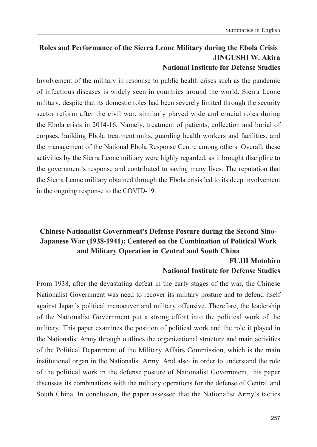#### **Roles and Performance of the Sierra Leone Military during the Ebola Crisis JINGUSHI W. Akira National Institute for Defense Studies**

Involvement of the military in response to public health crises such as the pandemic of infectious diseases is widely seen in countries around the world. Sierra Leone military, despite that its domestic roles had been severely limited through the security sector reform after the civil war, similarly played wide and crucial roles during the Ebola crisis in 2014-16. Namely, treatment of patients, collection and burial of corpses, building Ebola treatment units, guarding health workers and facilities, and the management of the National Ebola Response Centre among others. Overall, these activities by the Sierra Leone military were highly regarded, as it brought discipline to the government's response and contributed to saving many lives. The reputation that the Sierra Leone military obtained through the Ebola crisis led to its deep involvement in the ongoing response to the COVID-19.

# **Chinese Nationalist Government's Defense Posture during the Second Sino-Japanese War (1938-1941): Centered on the Combination of Political Work and Military Operation in Central and South China**

#### **FUJII Motohiro National Institute for Defense Studies**

From 1938, after the devastating defeat in the early stages of the war, the Chinese Nationalist Government was need to recover its military posture and to defend itself against Japan's political manoeuver and military offensive. Therefore, the leadership of the Nationalist Government put a strong effort into the political work of the military. This paper examines the position of political work and the role it played in the Nationalist Army through outlines the organizational structure and main activities of the Political Department of the Military Affairs Commission, which is the main institutional organ in the Nationalist Army. And also, in order to understand the role of the political work in the defense posture of Nationalist Government, this paper discusses its combinations with the military operations for the defense of Central and South China. In conclusion, the paper assessed that the Nationalist Army's tactics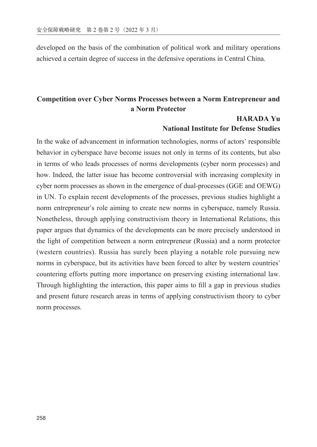developed on the basis of the combination of political work and military operations achieved a certain degree of success in the defensive operations in Central China.

#### **Competition over Cyber Norms Processes between a Norm Entrepreneur and a Norm Protector**

#### **HARADA Yu National Institute for Defense Studies**

In the wake of advancement in information technologies, norms of actors' responsible behavior in cyberspace have become issues not only in terms of its contents, but also in terms of who leads processes of norms developments (cyber norm processes) and how. Indeed, the latter issue has become controversial with increasing complexity in cyber norm processes as shown in the emergence of dual-processes (GGE and OEWG) in UN. To explain recent developments of the processes, previous studies highlight a norm entrepreneur's role aiming to create new norms in cyberspace, namely Russia. Nonetheless, through applying constructivism theory in International Relations, this paper argues that dynamics of the developments can be more precisely understood in the light of competition between a norm entrepreneur (Russia) and a norm protector (western countries). Russia has surely been playing a notable role pursuing new norms in cyberspace, but its activities have been forced to alter by western countries' countering efforts putting more importance on preserving existing international law. Through highlighting the interaction, this paper aims to fill a gap in previous studies and present future research areas in terms of applying constructivism theory to cyber norm processes.